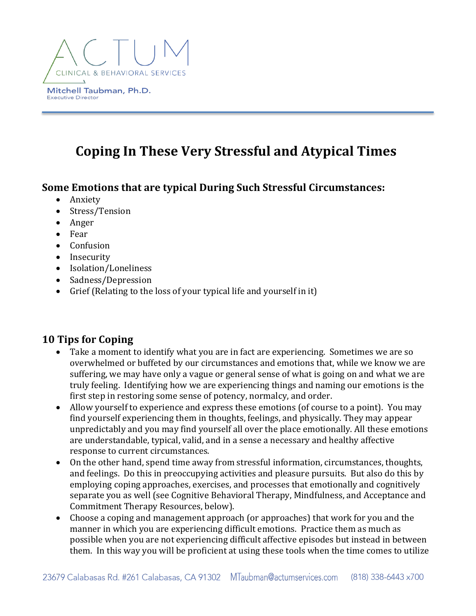

# **Coping In These Very Stressful and Atypical Times**

# **Some Emotions that are typical During Such Stressful Circumstances:**

- Anxiety
- Stress/Tension
- Anger
- Fear
- Confusion
- Insecurity
- Isolation/Loneliness
- Sadness/Depression
- Grief (Relating to the loss of your typical life and yourself in it)

# **10 Tips for Coping**

- Take a moment to identify what you are in fact are experiencing. Sometimes we are so overwhelmed or buffeted by our circumstances and emotions that, while we know we are suffering, we may have only a vague or general sense of what is going on and what we are truly feeling. Identifying how we are experiencing things and naming our emotions is the first step in restoring some sense of potency, normalcy, and order.
- Allow yourself to experience and express these emotions (of course to a point). You may find yourself experiencing them in thoughts, feelings, and physically. They may appear unpredictably and you may find yourself all over the place emotionally. All these emotions are understandable, typical, valid, and in a sense a necessary and healthy affective response to current circumstances.
- On the other hand, spend time away from stressful information, circumstances, thoughts, and feelings. Do this in preoccupying activities and pleasure pursuits. But also do this by emploving coping approaches, exercises, and processes that emotionally and cognitively separate you as well (see Cognitive Behavioral Therapy, Mindfulness, and Acceptance and Commitment Therapy Resources, below).
- Choose a coping and management approach (or approaches) that work for you and the manner in which you are experiencing difficult emotions. Practice them as much as possible when you are not experiencing difficult affective episodes but instead in between them. In this way you will be proficient at using these tools when the time comes to utilize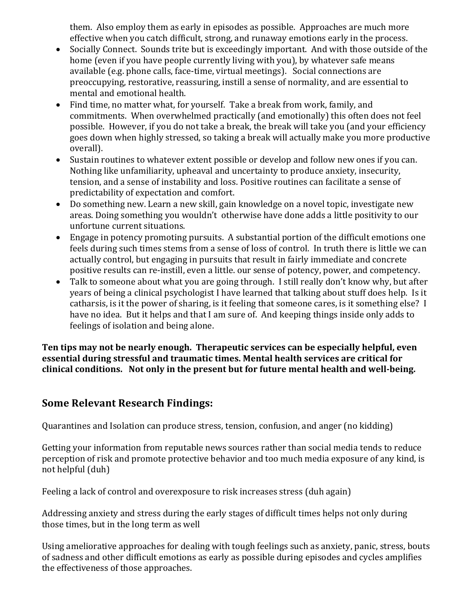them. Also employ them as early in episodes as possible. Approaches are much more effective when you catch difficult, strong, and runaway emotions early in the process.

- Socially Connect. Sounds trite but is exceedingly important. And with those outside of the home (even if you have people currently living with you), by whatever safe means available (e.g. phone calls, face-time, virtual meetings). Social connections are preoccupying, restorative, reassuring, instill a sense of normality, and are essential to mental and emotional health.
- Find time, no matter what, for yourself. Take a break from work, family, and commitments. When overwhelmed practically (and emotionally) this often does not feel possible. However, if you do not take a break, the break will take you (and your efficiency goes down when highly stressed, so taking a break will actually make you more productive overall).
- Sustain routines to whatever extent possible or develop and follow new ones if you can. Nothing like unfamiliarity, upheaval and uncertainty to produce anxiety, insecurity, tension, and a sense of instability and loss. Positive routines can facilitate a sense of predictability of expectation and comfort.
- Do something new. Learn a new skill, gain knowledge on a novel topic, investigate new areas. Doing something you wouldn't otherwise have done adds a little positivity to our unfortune current situations.
- Engage in potency promoting pursuits. A substantial portion of the difficult emotions one feels during such times stems from a sense of loss of control. In truth there is little we can actually control, but engaging in pursuits that result in fairly immediate and concrete positive results can re-instill, even a little. our sense of potency, power, and competency.
- Talk to someone about what you are going through. I still really don't know why, but after years of being a clinical psychologist I have learned that talking about stuff does help. Is it catharsis, is it the power of sharing, is it feeling that someone cares, is it something else? I have no idea. But it helps and that I am sure of. And keeping things inside only adds to feelings of isolation and being alone.

Ten tips may not be nearly enough. Therapeutic services can be especially helpful, even essential during stressful and traumatic times. Mental health services are critical for clinical conditions. Not only in the present but for future mental health and well-being.

# **Some Relevant Research Findings:**

Quarantines and Isolation can produce stress, tension, confusion, and anger (no kidding)

Getting your information from reputable news sources rather than social media tends to reduce perception of risk and promote protective behavior and too much media exposure of any kind, is not helpful (duh)

Feeling a lack of control and overexposure to risk increases stress (duh again)

Addressing anxiety and stress during the early stages of difficult times helps not only during those times, but in the long term as well

Using ameliorative approaches for dealing with tough feelings such as anxiety, panic, stress, bouts of sadness and other difficult emotions as early as possible during episodes and cycles amplifies the effectiveness of those approaches.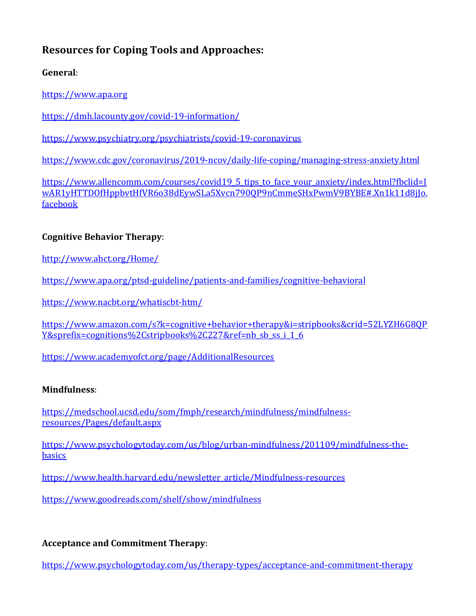# **Resources for Coping Tools and Approaches:**

**General**:

https://www.apa.org

https://dmh.lacounty.gov/covid-19-information/

https://www.psychiatry.org/psychiatrists/covid-19-coronavirus

https://www.cdc.gov/coronavirus/2019-ncov/daily-life-coping/managing-stress-anxiety.html

https://www.allencomm.com/courses/covid19\_5\_tips\_to\_face\_your\_anxiety/index.html?fbclid=I wAR1yHTTDOfHppbvtHfVR6o38dEywSLa5Xvcn790QP9nCmmeSHxPwmV9BYBE#.Xn1k11d8jJo. facebook

### **Cognitive Behavior Therapy:**

http://www.abct.org/Home/

https://www.apa.org/ptsd-guideline/patients-and-families/cognitive-behavioral

https://www.nacbt.org/whatiscbt-htm/

https://www.amazon.com/s?k=cognitive+behavior+therapy&i=stripbooks&crid=52LYZH6G8QP Y&sprefix=cognitions%2Cstripbooks%2C227&ref=nb sb ss i 1 6

https://www.academyofct.org/page/AdditionalResources

#### **Mindfulness**:

https://medschool.ucsd.edu/som/fmph/research/mindfulness/mindfulnessresources/Pages/default.aspx

https://www.psychologytoday.com/us/blog/urban-mindfulness/201109/mindfulness-thebasics

https://www.health.harvard.edu/newsletter\_article/Mindfulness-resources

https://www.goodreads.com/shelf/show/mindfulness

### **Acceptance and Commitment Therapy:**

https://www.psychologytoday.com/us/therapy-types/acceptance-and-commitment-therapy